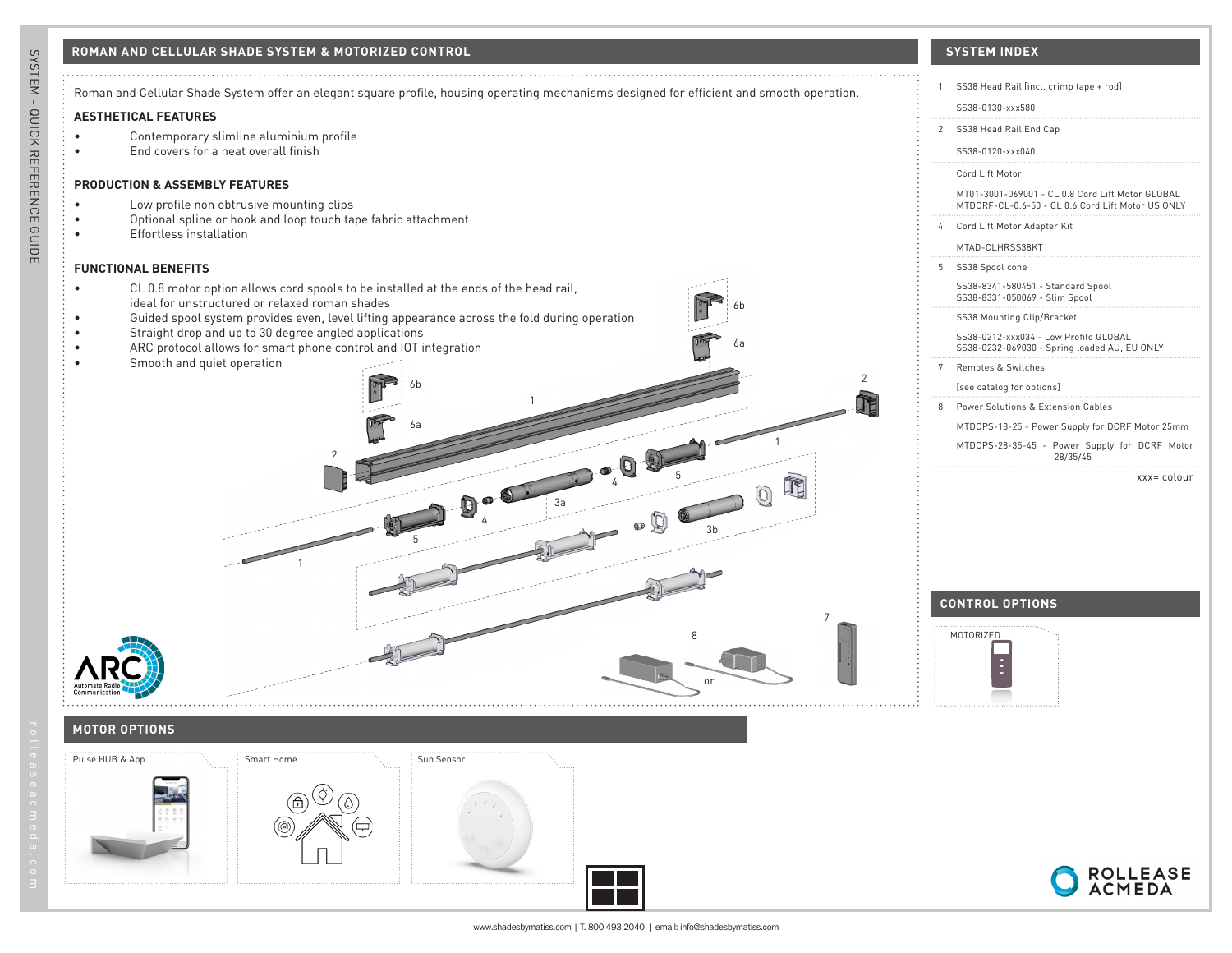

SYSTEM - QUICK REFERENCE GUIDE

ROLLEASE<br>ACMEDA